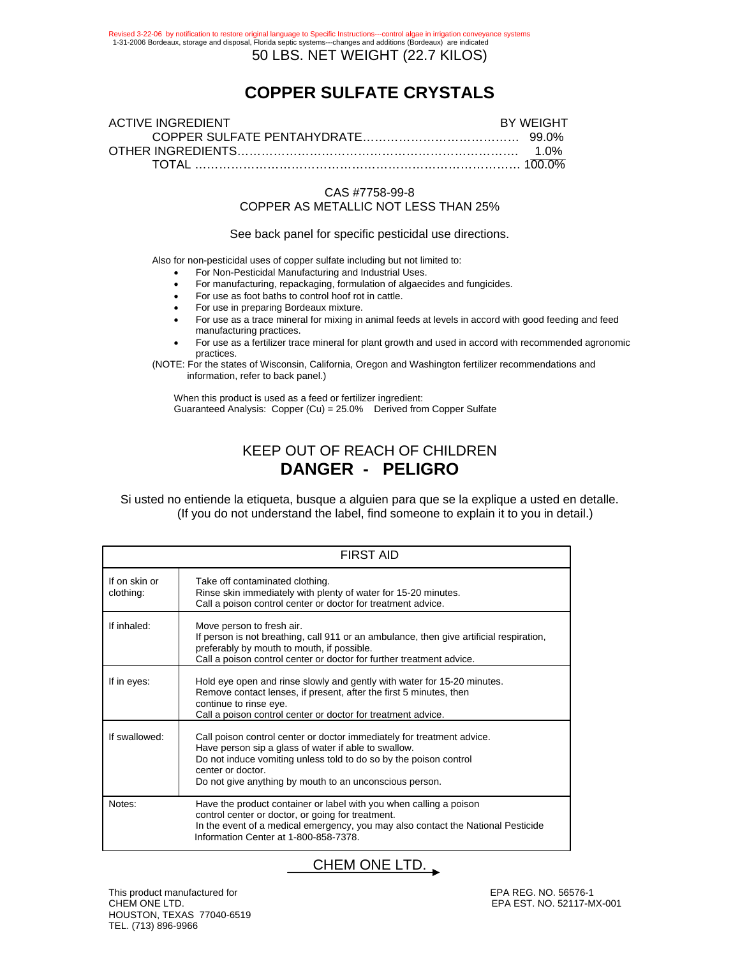# **COPPER SULFATE CRYSTALS**

| ACTIVE INGREDIENT | BY WEIGHT |
|-------------------|-----------|
|                   |           |
|                   |           |
|                   |           |

# CAS #7758-99-8

# COPPER AS METALLIC NOT LESS THAN 25%

See back panel for specific pesticidal use directions.

Also for non-pesticidal uses of copper sulfate including but not limited to:

- For Non-Pesticidal Manufacturing and Industrial Uses.
- For manufacturing, repackaging, formulation of algaecides and fungicides.
- For use as foot baths to control hoof rot in cattle.
- For use in preparing Bordeaux mixture.
- For use as a trace mineral for mixing in animal feeds at levels in accord with good feeding and feed manufacturing practices.
- For use as a fertilizer trace mineral for plant growth and used in accord with recommended agronomic practices.

(NOTE: For the states of Wisconsin, California, Oregon and Washington fertilizer recommendations and information, refer to back panel.)

When this product is used as a feed or fertilizer ingredient: Guaranteed Analysis: Copper (Cu) = 25.0% Derived from Copper Sulfate

# KEEP OUT OF REACH OF CHILDREN **DANGER - PELIGRO**

Si usted no entiende la etiqueta, busque a alguien para que se la explique a usted en detalle. (If you do not understand the label, find someone to explain it to you in detail.)

|                            | <b>FIRST AID</b>                                                                                                                                                                                                                                                                    |
|----------------------------|-------------------------------------------------------------------------------------------------------------------------------------------------------------------------------------------------------------------------------------------------------------------------------------|
| If on skin or<br>clothing: | Take off contaminated clothing.<br>Rinse skin immediately with plenty of water for 15-20 minutes.<br>Call a poison control center or doctor for treatment advice.                                                                                                                   |
| If inhaled:                | Move person to fresh air.<br>If person is not breathing, call 911 or an ambulance, then give artificial respiration,<br>preferably by mouth to mouth, if possible.<br>Call a poison control center or doctor for further treatment advice.                                          |
| If in eyes:                | Hold eye open and rinse slowly and gently with water for 15-20 minutes.<br>Remove contact lenses, if present, after the first 5 minutes, then<br>continue to rinse eye.<br>Call a poison control center or doctor for treatment advice.                                             |
| If swallowed:              | Call poison control center or doctor immediately for treatment advice.<br>Have person sip a glass of water if able to swallow.<br>Do not induce vomiting unless told to do so by the poison control<br>center or doctor.<br>Do not give anything by mouth to an unconscious person. |
| Notes:                     | Have the product container or label with you when calling a poison<br>control center or doctor, or going for treatment.<br>In the event of a medical emergency, you may also contact the National Pesticide<br>Information Center at 1-800-858-7378.                                |

CHEM ONE LTD.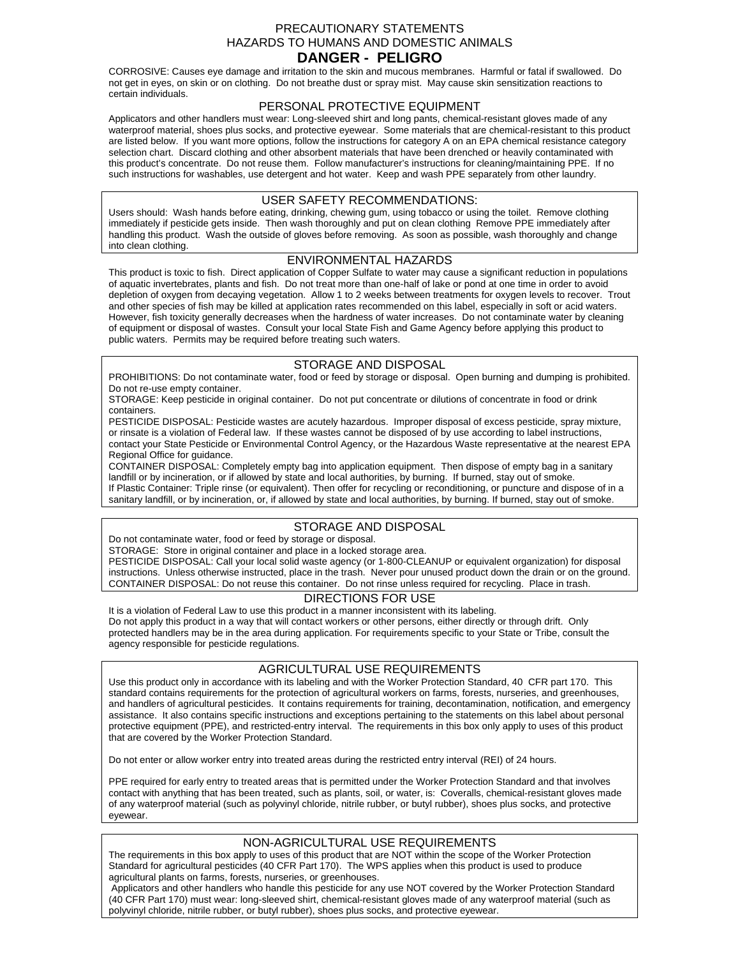# PRECAUTIONARY STATEMENTS HAZARDS TO HUMANS AND DOMESTIC ANIMALS

# **DANGER - PELIGRO**

CORROSIVE: Causes eye damage and irritation to the skin and mucous membranes. Harmful or fatal if swallowed. Do not get in eyes, on skin or on clothing. Do not breathe dust or spray mist. May cause skin sensitization reactions to certain individuals.

## PERSONAL PROTECTIVE EQUIPMENT

Applicators and other handlers must wear: Long-sleeved shirt and long pants, chemical-resistant gloves made of any waterproof material, shoes plus socks, and protective eyewear. Some materials that are chemical-resistant to this product are listed below. If you want more options, follow the instructions for category A on an EPA chemical resistance category selection chart. Discard clothing and other absorbent materials that have been drenched or heavily contaminated with this product's concentrate. Do not reuse them. Follow manufacturer's instructions for cleaning/maintaining PPE. If no such instructions for washables, use detergent and hot water. Keep and wash PPE separately from other laundry.

### USER SAFETY RECOMMENDATIONS:

Users should: Wash hands before eating, drinking, chewing gum, using tobacco or using the toilet. Remove clothing immediately if pesticide gets inside. Then wash thoroughly and put on clean clothing Remove PPE immediately after handling this product. Wash the outside of gloves before removing. As soon as possible, wash thoroughly and change into clean clothing.

## ENVIRONMENTAL HAZARDS

This product is toxic to fish. Direct application of Copper Sulfate to water may cause a significant reduction in populations of aquatic invertebrates, plants and fish. Do not treat more than one-half of lake or pond at one time in order to avoid depletion of oxygen from decaying vegetation. Allow 1 to 2 weeks between treatments for oxygen levels to recover. Trout and other species of fish may be killed at application rates recommended on this label, especially in soft or acid waters. However, fish toxicity generally decreases when the hardness of water increases. Do not contaminate water by cleaning of equipment or disposal of wastes. Consult your local State Fish and Game Agency before applying this product to public waters. Permits may be required before treating such waters.

## STORAGE AND DISPOSAL

PROHIBITIONS: Do not contaminate water, food or feed by storage or disposal. Open burning and dumping is prohibited. Do not re-use empty container.

STORAGE: Keep pesticide in original container. Do not put concentrate or dilutions of concentrate in food or drink containers.

PESTICIDE DISPOSAL: Pesticide wastes are acutely hazardous. Improper disposal of excess pesticide, spray mixture, or rinsate is a violation of Federal law. If these wastes cannot be disposed of by use according to label instructions, contact your State Pesticide or Environmental Control Agency, or the Hazardous Waste representative at the nearest EPA Regional Office for guidance.

CONTAINER DISPOSAL: Completely empty bag into application equipment. Then dispose of empty bag in a sanitary landfill or by incineration, or if allowed by state and local authorities, by burning. If burned, stay out of smoke. If Plastic Container: Triple rinse (or equivalent). Then offer for recycling or reconditioning, or puncture and dispose of in a sanitary landfill, or by incineration, or, if allowed by state and local authorities, by burning. If burned, stay out of smoke.

## STORAGE AND DISPOSAL

Do not contaminate water, food or feed by storage or disposal.

STORAGE: Store in original container and place in a locked storage area. PESTICIDE DISPOSAL: Call your local solid waste agency (or 1-800-CLEANUP or equivalent organization) for disposal instructions. Unless otherwise instructed, place in the trash. Never pour unused product down the drain or on the ground. CONTAINER DISPOSAL: Do not reuse this container. Do not rinse unless required for recycling. Place in trash.

### DIRECTIONS FOR USE

It is a violation of Federal Law to use this product in a manner inconsistent with its labeling. Do not apply this product in a way that will contact workers or other persons, either directly or through drift. Only protected handlers may be in the area during application. For requirements specific to your State or Tribe, consult the agency responsible for pesticide regulations.

## AGRICULTURAL USE REQUIREMENTS

Use this product only in accordance with its labeling and with the Worker Protection Standard, 40 CFR part 170. This standard contains requirements for the protection of agricultural workers on farms, forests, nurseries, and greenhouses, and handlers of agricultural pesticides. It contains requirements for training, decontamination, notification, and emergency assistance. It also contains specific instructions and exceptions pertaining to the statements on this label about personal protective equipment (PPE), and restricted-entry interval. The requirements in this box only apply to uses of this product that are covered by the Worker Protection Standard.

Do not enter or allow worker entry into treated areas during the restricted entry interval (REI) of 24 hours.

PPE required for early entry to treated areas that is permitted under the Worker Protection Standard and that involves contact with anything that has been treated, such as plants, soil, or water, is: Coveralls, chemical-resistant gloves made of any waterproof material (such as polyvinyl chloride, nitrile rubber, or butyl rubber), shoes plus socks, and protective eyewear.

## NON-AGRICULTURAL USE REQUIREMENTS

The requirements in this box apply to uses of this product that are NOT within the scope of the Worker Protection Standard for agricultural pesticides (40 CFR Part 170). The WPS applies when this product is used to produce agricultural plants on farms, forests, nurseries, or greenhouses.

 Applicators and other handlers who handle this pesticide for any use NOT covered by the Worker Protection Standard (40 CFR Part 170) must wear: long-sleeved shirt, chemical-resistant gloves made of any waterproof material (such as polyvinyl chloride, nitrile rubber, or butyl rubber), shoes plus socks, and protective eyewear.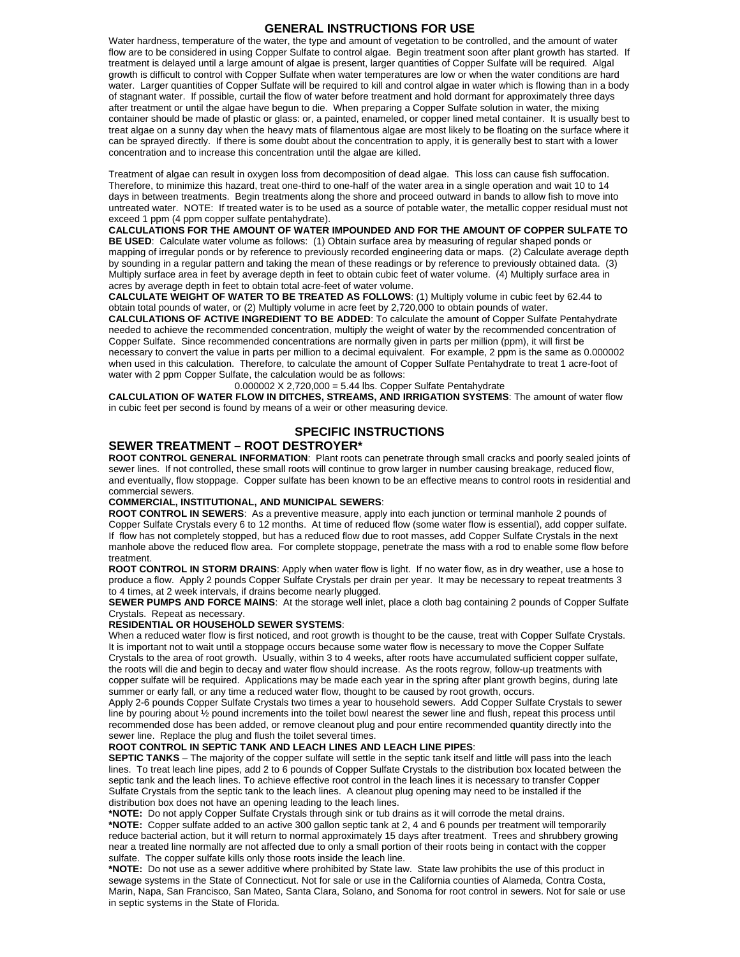### **GENERAL INSTRUCTIONS FOR USE**

Water hardness, temperature of the water, the type and amount of vegetation to be controlled, and the amount of water flow are to be considered in using Copper Sulfate to control algae. Begin treatment soon after plant growth has started. If treatment is delayed until a large amount of algae is present, larger quantities of Copper Sulfate will be required. Algal growth is difficult to control with Copper Sulfate when water temperatures are low or when the water conditions are hard water. Larger quantities of Copper Sulfate will be required to kill and control algae in water which is flowing than in a body of stagnant water. If possible, curtail the flow of water before treatment and hold dormant for approximately three days after treatment or until the algae have begun to die. When preparing a Copper Sulfate solution in water, the mixing container should be made of plastic or glass: or, a painted, enameled, or copper lined metal container. It is usually best to treat algae on a sunny day when the heavy mats of filamentous algae are most likely to be floating on the surface where it can be sprayed directly. If there is some doubt about the concentration to apply, it is generally best to start with a lower concentration and to increase this concentration until the algae are killed.

Treatment of algae can result in oxygen loss from decomposition of dead algae. This loss can cause fish suffocation. Therefore, to minimize this hazard, treat one-third to one-half of the water area in a single operation and wait 10 to 14 days in between treatments. Begin treatments along the shore and proceed outward in bands to allow fish to move into untreated water. NOTE: If treated water is to be used as a source of potable water, the metallic copper residual must not exceed 1 ppm (4 ppm copper sulfate pentahydrate).

**CALCULATIONS FOR THE AMOUNT OF WATER IMPOUNDED AND FOR THE AMOUNT OF COPPER SULFATE TO BE USED**: Calculate water volume as follows: (1) Obtain surface area by measuring of regular shaped ponds or mapping of irregular ponds or by reference to previously recorded engineering data or maps. (2) Calculate average depth by sounding in a regular pattern and taking the mean of these readings or by reference to previously obtained data. (3) Multiply surface area in feet by average depth in feet to obtain cubic feet of water volume. (4) Multiply surface area in acres by average depth in feet to obtain total acre-feet of water volume.

**CALCULATE WEIGHT OF WATER TO BE TREATED AS FOLLOWS**: (1) Multiply volume in cubic feet by 62.44 to obtain total pounds of water, or (2) Multiply volume in acre feet by 2,720,000 to obtain pounds of water.

**CALCULATIONS OF ACTIVE INGREDIENT TO BE ADDED**: To calculate the amount of Copper Sulfate Pentahydrate needed to achieve the recommended concentration, multiply the weight of water by the recommended concentration of Copper Sulfate. Since recommended concentrations are normally given in parts per million (ppm), it will first be necessary to convert the value in parts per million to a decimal equivalent. For example, 2 ppm is the same as 0.000002 when used in this calculation. Therefore, to calculate the amount of Copper Sulfate Pentahydrate to treat 1 acre-foot of water with 2 ppm Copper Sulfate, the calculation would be as follows:

#### 0.000002 X 2,720,000 = 5.44 lbs. Copper Sulfate Pentahydrate

**CALCULATION OF WATER FLOW IN DITCHES, STREAMS, AND IRRIGATION SYSTEMS**: The amount of water flow in cubic feet per second is found by means of a weir or other measuring device.

## **SPECIFIC INSTRUCTIONS**

# **SEWER TREATMENT – ROOT DESTROYER\***

**ROOT CONTROL GENERAL INFORMATION**: Plant roots can penetrate through small cracks and poorly sealed joints of sewer lines. If not controlled, these small roots will continue to grow larger in number causing breakage, reduced flow, and eventually, flow stoppage. Copper sulfate has been known to be an effective means to control roots in residential and commercial sewers.

#### **COMMERCIAL, INSTITUTIONAL, AND MUNICIPAL SEWERS**:

**ROOT CONTROL IN SEWERS**: As a preventive measure, apply into each junction or terminal manhole 2 pounds of Copper Sulfate Crystals every 6 to 12 months. At time of reduced flow (some water flow is essential), add copper sulfate. If flow has not completely stopped, but has a reduced flow due to root masses, add Copper Sulfate Crystals in the next manhole above the reduced flow area. For complete stoppage, penetrate the mass with a rod to enable some flow before treatment.

**ROOT CONTROL IN STORM DRAINS**: Apply when water flow is light. If no water flow, as in dry weather, use a hose to produce a flow. Apply 2 pounds Copper Sulfate Crystals per drain per year. It may be necessary to repeat treatments 3 to 4 times, at 2 week intervals, if drains become nearly plugged.

**SEWER PUMPS AND FORCE MAINS**: At the storage well inlet, place a cloth bag containing 2 pounds of Copper Sulfate Crystals. Repeat as necessary.

#### **RESIDENTIAL OR HOUSEHOLD SEWER SYSTEMS**:

When a reduced water flow is first noticed, and root growth is thought to be the cause, treat with Copper Sulfate Crystals. It is important not to wait until a stoppage occurs because some water flow is necessary to move the Copper Sulfate Crystals to the area of root growth. Usually, within 3 to 4 weeks, after roots have accumulated sufficient copper sulfate, the roots will die and begin to decay and water flow should increase. As the roots regrow, follow-up treatments with copper sulfate will be required. Applications may be made each year in the spring after plant growth begins, during late summer or early fall, or any time a reduced water flow, thought to be caused by root growth, occurs.

Apply 2-6 pounds Copper Sulfate Crystals two times a year to household sewers. Add Copper Sulfate Crystals to sewer line by pouring about  $\frac{1}{2}$  pound increments into the toilet bowl nearest the sewer line and flush, repeat this process until recommended dose has been added, or remove cleanout plug and pour entire recommended quantity directly into the sewer line. Replace the plug and flush the toilet several times.

#### **ROOT CONTROL IN SEPTIC TANK AND LEACH LINES AND LEACH LINE PIPES**:

**SEPTIC TANKS** – The majority of the copper sulfate will settle in the septic tank itself and little will pass into the leach lines. To treat leach line pipes, add 2 to 6 pounds of Copper Sulfate Crystals to the distribution box located between the septic tank and the leach lines. To achieve effective root control in the leach lines it is necessary to transfer Copper Sulfate Crystals from the septic tank to the leach lines. A cleanout plug opening may need to be installed if the distribution box does not have an opening leading to the leach lines.

**\*NOTE:** Do not apply Copper Sulfate Crystals through sink or tub drains as it will corrode the metal drains. **\*NOTE:** Copper sulfate added to an active 300 gallon septic tank at 2, 4 and 6 pounds per treatment will temporarily reduce bacterial action, but it will return to normal approximately 15 days after treatment. Trees and shrubbery growing near a treated line normally are not affected due to only a small portion of their roots being in contact with the copper sulfate. The copper sulfate kills only those roots inside the leach line.

**\*NOTE:** Do not use as a sewer additive where prohibited by State law. State law prohibits the use of this product in sewage systems in the State of Connecticut. Not for sale or use in the California counties of Alameda, Contra Costa, Marin, Napa, San Francisco, San Mateo, Santa Clara, Solano, and Sonoma for root control in sewers. Not for sale or use in septic systems in the State of Florida.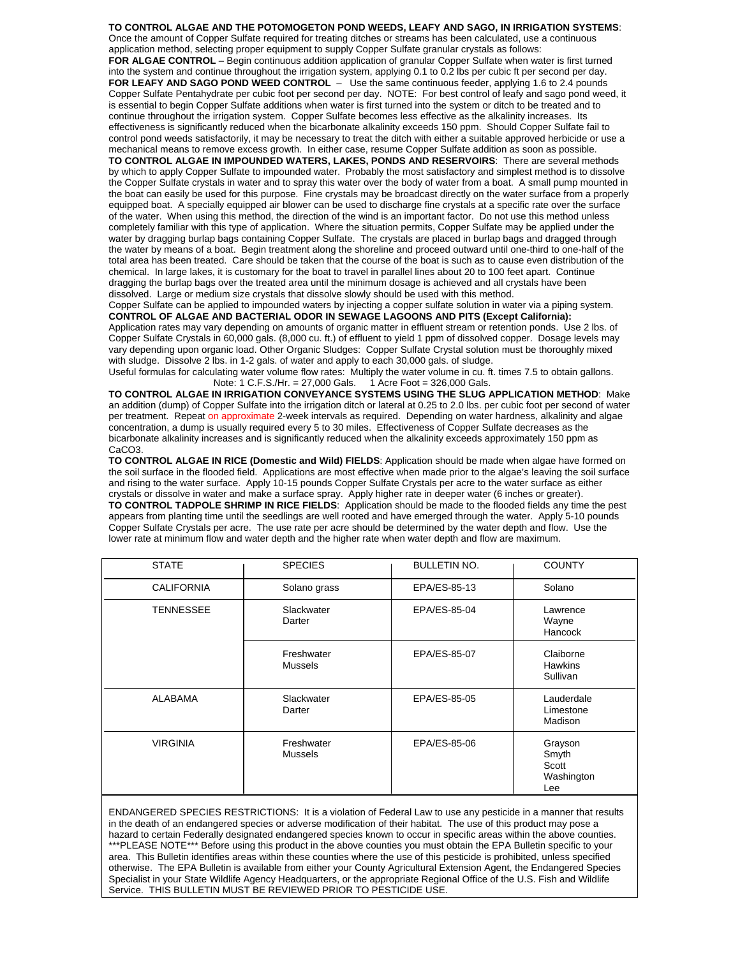**TO CONTROL ALGAE AND THE POTOMOGETON POND WEEDS, LEAFY AND SAGO, IN IRRIGATION SYSTEMS**: Once the amount of Copper Sulfate required for treating ditches or streams has been calculated, use a continuous application method, selecting proper equipment to supply Copper Sulfate granular crystals as follows: **FOR ALGAE CONTROL** – Begin continuous addition application of granular Copper Sulfate when water is first turned into the system and continue throughout the irrigation system, applying 0.1 to 0.2 lbs per cubic ft per second per day. **FOR LEAFY AND SAGO POND WEED CONTROL** – Use the same continuous feeder, applying 1.6 to 2.4 pounds Copper Sulfate Pentahydrate per cubic foot per second per day. NOTE: For best control of leafy and sago pond weed, it is essential to begin Copper Sulfate additions when water is first turned into the system or ditch to be treated and to continue throughout the irrigation system. Copper Sulfate becomes less effective as the alkalinity increases. Its effectiveness is significantly reduced when the bicarbonate alkalinity exceeds 150 ppm. Should Copper Sulfate fail to control pond weeds satisfactorily, it may be necessary to treat the ditch with either a suitable approved herbicide or use a mechanical means to remove excess growth. In either case, resume Copper Sulfate addition as soon as possible. **TO CONTROL ALGAE IN IMPOUNDED WATERS, LAKES, PONDS AND RESERVOIRS**: There are several methods by which to apply Copper Sulfate to impounded water. Probably the most satisfactory and simplest method is to dissolve the Copper Sulfate crystals in water and to spray this water over the body of water from a boat. A small pump mounted in the boat can easily be used for this purpose. Fine crystals may be broadcast directly on the water surface from a properly equipped boat. A specially equipped air blower can be used to discharge fine crystals at a specific rate over the surface of the water. When using this method, the direction of the wind is an important factor. Do not use this method unless completely familiar with this type of application. Where the situation permits, Copper Sulfate may be applied under the water by dragging burlap bags containing Copper Sulfate. The crystals are placed in burlap bags and dragged through the water by means of a boat. Begin treatment along the shoreline and proceed outward until one-third to one-half of the total area has been treated. Care should be taken that the course of the boat is such as to cause even distribution of the chemical. In large lakes, it is customary for the boat to travel in parallel lines about 20 to 100 feet apart. Continue dragging the burlap bags over the treated area until the minimum dosage is achieved and all crystals have been dissolved. Large or medium size crystals that dissolve slowly should be used with this method.

Copper Sulfate can be applied to impounded waters by injecting a copper sulfate solution in water via a piping system. **CONTROL OF ALGAE AND BACTERIAL ODOR IN SEWAGE LAGOONS AND PITS (Except California):**  Application rates may vary depending on amounts of organic matter in effluent stream or retention ponds. Use 2 lbs. of Copper Sulfate Crystals in 60,000 gals. (8,000 cu. ft.) of effluent to yield 1 ppm of dissolved copper. Dosage levels may vary depending upon organic load. Other Organic Sludges: Copper Sulfate Crystal solution must be thoroughly mixed with sludge. Dissolve 2 lbs. in 1-2 gals. of water and apply to each 30,000 gals. of sludge.

Useful formulas for calculating water volume flow rates: Multiply the water volume in cu. ft. times 7.5 to obtain gallons. Note:  $1 \text{ C.F.S./Hr.} = 27,000 \text{ Gals.}$ 

**TO CONTROL ALGAE IN IRRIGATION CONVEYANCE SYSTEMS USING THE SLUG APPLICATION METHOD**: Make an addition (dump) of Copper Sulfate into the irrigation ditch or lateral at 0.25 to 2.0 lbs. per cubic foot per second of water per treatment. Repeat on approximate 2-week intervals as required. Depending on water hardness, alkalinity and algae concentration, a dump is usually required every 5 to 30 miles. Effectiveness of Copper Sulfate decreases as the bicarbonate alkalinity increases and is significantly reduced when the alkalinity exceeds approximately 150 ppm as CaCO3.

**TO CONTROL ALGAE IN RICE (Domestic and Wild) FIELDS**: Application should be made when algae have formed on the soil surface in the flooded field. Applications are most effective when made prior to the algae's leaving the soil surface and rising to the water surface. Apply 10-15 pounds Copper Sulfate Crystals per acre to the water surface as either crystals or dissolve in water and make a surface spray. Apply higher rate in deeper water (6 inches or greater). **TO CONTROL TADPOLE SHRIMP IN RICE FIELDS**: Application should be made to the flooded fields any time the pest appears from planting time until the seedlings are well rooted and have emerged through the water. Apply 5-10 pounds Copper Sulfate Crystals per acre. The use rate per acre should be determined by the water depth and flow. Use the lower rate at minimum flow and water depth and the higher rate when water depth and flow are maximum.

| <b>STATE</b>      | <b>SPECIES</b>               | <b>BULLETIN NO.</b> | <b>COUNTY</b>                                  |
|-------------------|------------------------------|---------------------|------------------------------------------------|
| <b>CALIFORNIA</b> | Solano grass                 | EPA/ES-85-13        | Solano                                         |
| <b>TENNESSEE</b>  | Slackwater<br>Darter         | EPA/ES-85-04        | Lawrence<br>Wayne<br>Hancock                   |
|                   | Freshwater<br><b>Mussels</b> | EPA/ES-85-07        | Claiborne<br><b>Hawkins</b><br>Sullivan        |
| ALABAMA           | Slackwater<br>Darter         | EPA/ES-85-05        | Lauderdale<br>Limestone<br>Madison             |
| <b>VIRGINIA</b>   | Freshwater<br>Mussels        | EPA/ES-85-06        | Grayson<br>Smyth<br>Scott<br>Washington<br>Lee |

ENDANGERED SPECIES RESTRICTIONS: It is a violation of Federal Law to use any pesticide in a manner that results in the death of an endangered species or adverse modification of their habitat. The use of this product may pose a hazard to certain Federally designated endangered species known to occur in specific areas within the above counties. \*\*\*PLEASE NOTE\*\*\* Before using this product in the above counties you must obtain the EPA Bulletin specific to your area. This Bulletin identifies areas within these counties where the use of this pesticide is prohibited, unless specified otherwise. The EPA Bulletin is available from either your County Agricultural Extension Agent, the Endangered Species Specialist in your State Wildlife Agency Headquarters, or the appropriate Regional Office of the U.S. Fish and Wildlife Service. THIS BULLETIN MUST BE REVIEWED PRIOR TO PESTICIDE USE.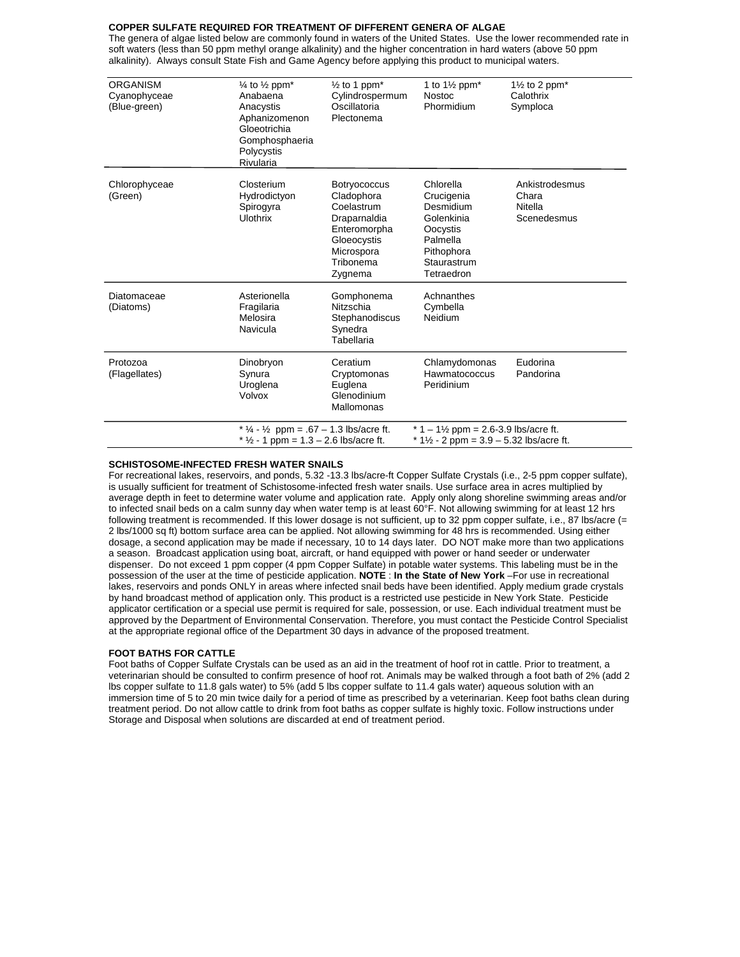### **COPPER SULFATE REQUIRED FOR TREATMENT OF DIFFERENT GENERA OF ALGAE**

The genera of algae listed below are commonly found in waters of the United States. Use the lower recommended rate in soft waters (less than 50 ppm methyl orange alkalinity) and the higher concentration in hard waters (above 50 ppm alkalinity). Always consult State Fish and Game Agency before applying this product to municipal waters.

| <b>ORGANISM</b><br>Cyanophyceae<br>(Blue-green) | $\frac{1}{4}$ to $\frac{1}{2}$ ppm <sup>*</sup><br>Anabaena<br>Anacystis<br>Aphanizomenon<br>Gloeotrichia<br>Gomphosphaeria<br>Polycystis<br>Rivularia | $\frac{1}{2}$ to 1 ppm <sup>*</sup><br>Cylindrospermum<br>Oscillatoria<br>Plectonema                                                 | 1 to $1\frac{1}{2}$ ppm <sup>*</sup><br><b>Nostoc</b><br>Phormidium                                                                                                        | 1 $\frac{1}{2}$ to 2 ppm <sup>*</sup><br>Calothrix<br>Symploca |
|-------------------------------------------------|--------------------------------------------------------------------------------------------------------------------------------------------------------|--------------------------------------------------------------------------------------------------------------------------------------|----------------------------------------------------------------------------------------------------------------------------------------------------------------------------|----------------------------------------------------------------|
| Chlorophyceae<br>(Green)                        | Closterium<br>Hydrodictyon<br>Spirogyra<br><b>Ulothrix</b>                                                                                             | <b>Botryococcus</b><br>Cladophora<br>Coelastrum<br>Draparnaldia<br>Enteromorpha<br>Gloeocystis<br>Microspora<br>Tribonema<br>Zygnema | Chlorella<br>Ankistrodesmus<br>Crucigenia<br>Chara<br>Desmidium<br>Nitella<br>Golenkinia<br>Scenedesmus<br>Oocystis<br>Palmella<br>Pithophora<br>Staurastrum<br>Tetraedron |                                                                |
| Diatomaceae<br>(Diatoms)                        | Asterionella<br>Fragilaria<br>Melosira<br>Navicula                                                                                                     | Gomphonema<br>Nitzschia<br>Stephanodiscus<br>Synedra<br>Tabellaria                                                                   | Achnanthes<br>Cymbella<br>Neidium                                                                                                                                          |                                                                |
| Protozoa<br>(Flagellates)                       | Dinobryon<br>Synura<br>Uroglena<br>Volvox                                                                                                              | Ceratium<br>Cryptomonas<br>Euglena<br>Glenodinium<br>Mallomonas                                                                      | Chlamydomonas<br>Hawmatococcus<br>Peridinium                                                                                                                               | Eudorina<br>Pandorina                                          |
|                                                 | * $\frac{1}{4}$ - $\frac{1}{2}$ ppm = .67 - 1.3 lbs/acre ft.<br>* $\frac{1}{2}$ - 1 ppm = 1.3 - 2.6 lbs/acre ft.                                       |                                                                                                                                      | $*$ 1 – 1½ ppm = 2.6-3.9 lbs/acre ft.<br>* $1\frac{1}{2}$ - 2 ppm = 3.9 – 5.32 lbs/acre ft.                                                                                |                                                                |

#### **SCHISTOSOME-INFECTED FRESH WATER SNAILS**

For recreational lakes, reservoirs, and ponds, 5.32 -13.3 lbs/acre-ft Copper Sulfate Crystals (i.e., 2-5 ppm copper sulfate), is usually sufficient for treatment of Schistosome-infected fresh water snails. Use surface area in acres multiplied by average depth in feet to determine water volume and application rate. Apply only along shoreline swimming areas and/or to infected snail beds on a calm sunny day when water temp is at least 60°F. Not allowing swimming for at least 12 hrs following treatment is recommended. If this lower dosage is not sufficient, up to 32 ppm copper sulfate, i.e., 87 lbs/acre (= 2 lbs/1000 sq ft) bottom surface area can be applied. Not allowing swimming for 48 hrs is recommended. Using either dosage, a second application may be made if necessary, 10 to 14 days later. DO NOT make more than two applications a season. Broadcast application using boat, aircraft, or hand equipped with power or hand seeder or underwater dispenser. Do not exceed 1 ppm copper (4 ppm Copper Sulfate) in potable water systems. This labeling must be in the possession of the user at the time of pesticide application. **NOTE** : **In the State of New York** –For use in recreational lakes, reservoirs and ponds ONLY in areas where infected snail beds have been identified. Apply medium grade crystals by hand broadcast method of application only. This product is a restricted use pesticide in New York State. Pesticide applicator certification or a special use permit is required for sale, possession, or use. Each individual treatment must be approved by the Department of Environmental Conservation. Therefore, you must contact the Pesticide Control Specialist at the appropriate regional office of the Department 30 days in advance of the proposed treatment.

#### **FOOT BATHS FOR CATTLE**

Foot baths of Copper Sulfate Crystals can be used as an aid in the treatment of hoof rot in cattle. Prior to treatment, a veterinarian should be consulted to confirm presence of hoof rot. Animals may be walked through a foot bath of 2% (add 2 lbs copper sulfate to 11.8 gals water) to 5% (add 5 lbs copper sulfate to 11.4 gals water) aqueous solution with an immersion time of 5 to 20 min twice daily for a period of time as prescribed by a veterinarian. Keep foot baths clean during treatment period. Do not allow cattle to drink from foot baths as copper sulfate is highly toxic. Follow instructions under Storage and Disposal when solutions are discarded at end of treatment period.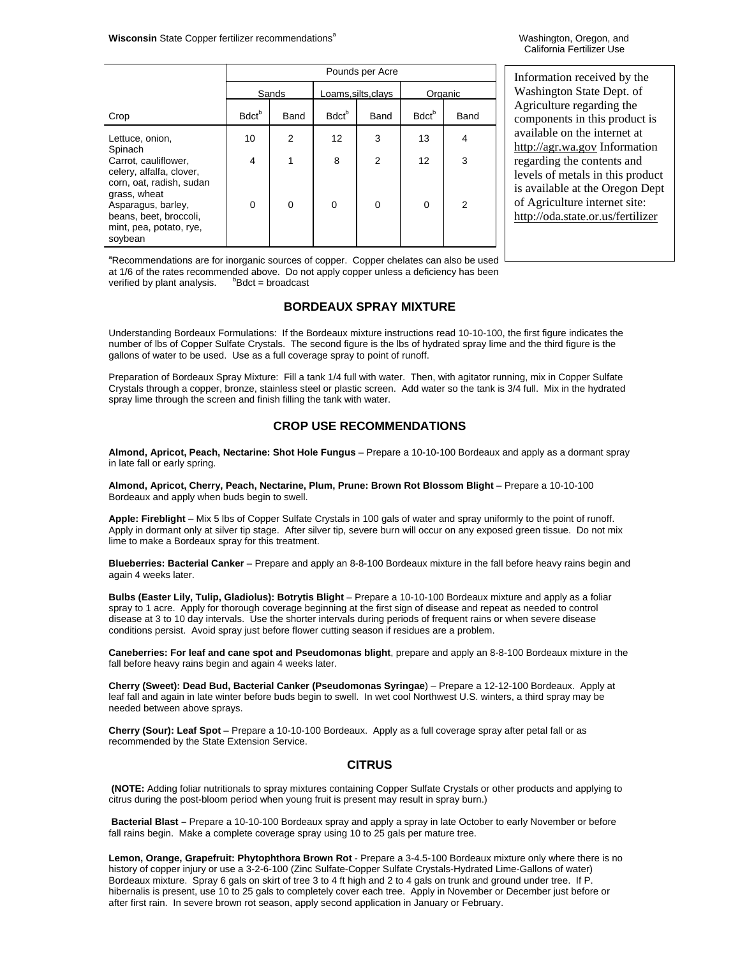|                                                                                                    | Pounds per Acre          |          |                          |                |                   |                |
|----------------------------------------------------------------------------------------------------|--------------------------|----------|--------------------------|----------------|-------------------|----------------|
|                                                                                                    | Sands                    |          | Loams, silts, clays      |                | Organic           |                |
| Crop                                                                                               | <b>Bdct</b> <sup>b</sup> | Band     | <b>Bdct</b> <sup>b</sup> | Band           | Bdct <sup>b</sup> | Band           |
| Lettuce, onion,                                                                                    | 10                       | 2        | 12                       | 3              | 13                | 4              |
| Spinach<br>Carrot, cauliflower,<br>celery, alfalfa, clover,<br>corn, oat, radish, sudan            | 4                        | 1        | 8                        | $\overline{2}$ | 12                | 3              |
| grass, wheat<br>Asparagus, barley,<br>beans, beet, broccoli,<br>mint, pea, potato, rye,<br>soybean | $\mathbf 0$              | $\Omega$ | $\mathbf 0$              | $\mathbf 0$    | $\mathbf 0$       | $\mathfrak{p}$ |

Information received by the Washington State Dept. of Agriculture regarding the components in this product is available on the internet at http://agr.wa.gov Information regarding the contents and levels of metals in this product is available at the Oregon Dept of Agriculture internet site: http://oda.state.or.us/fertilizer

<sup>a</sup>Recommendations are for inorganic sources of copper. Copper chelates can also be used at 1/6 of the rates recommended above. Do not apply copper unless a deficiency has been verified by plant analysis.  $b$ Bdct = broadcast

### **BORDEAUX SPRAY MIXTURE**

Understanding Bordeaux Formulations: If the Bordeaux mixture instructions read 10-10-100, the first figure indicates the number of lbs of Copper Sulfate Crystals. The second figure is the lbs of hydrated spray lime and the third figure is the gallons of water to be used. Use as a full coverage spray to point of runoff.

Preparation of Bordeaux Spray Mixture: Fill a tank 1/4 full with water. Then, with agitator running, mix in Copper Sulfate Crystals through a copper, bronze, stainless steel or plastic screen. Add water so the tank is 3/4 full. Mix in the hydrated spray lime through the screen and finish filling the tank with water.

### **CROP USE RECOMMENDATIONS**

**Almond, Apricot, Peach, Nectarine: Shot Hole Fungus** – Prepare a 10-10-100 Bordeaux and apply as a dormant spray in late fall or early spring.

**Almond, Apricot, Cherry, Peach, Nectarine, Plum, Prune: Brown Rot Blossom Blight** – Prepare a 10-10-100 Bordeaux and apply when buds begin to swell.

**Apple: Fireblight** – Mix 5 lbs of Copper Sulfate Crystals in 100 gals of water and spray uniformly to the point of runoff. Apply in dormant only at silver tip stage. After silver tip, severe burn will occur on any exposed green tissue. Do not mix lime to make a Bordeaux spray for this treatment.

**Blueberries: Bacterial Canker** – Prepare and apply an 8-8-100 Bordeaux mixture in the fall before heavy rains begin and again 4 weeks later.

**Bulbs (Easter Lily, Tulip, Gladiolus): Botrytis Blight** – Prepare a 10-10-100 Bordeaux mixture and apply as a foliar spray to 1 acre. Apply for thorough coverage beginning at the first sign of disease and repeat as needed to control disease at 3 to 10 day intervals. Use the shorter intervals during periods of frequent rains or when severe disease conditions persist. Avoid spray just before flower cutting season if residues are a problem.

**Caneberries: For leaf and cane spot and Pseudomonas blight**, prepare and apply an 8-8-100 Bordeaux mixture in the fall before heavy rains begin and again 4 weeks later.

**Cherry (Sweet): Dead Bud, Bacterial Canker (Pseudomonas Syringae**) – Prepare a 12-12-100 Bordeaux. Apply at leaf fall and again in late winter before buds begin to swell. In wet cool Northwest U.S. winters, a third spray may be needed between above sprays.

**Cherry (Sour): Leaf Spot** – Prepare a 10-10-100 Bordeaux. Apply as a full coverage spray after petal fall or as recommended by the State Extension Service.

## **CITRUS**

 **(NOTE:** Adding foliar nutritionals to spray mixtures containing Copper Sulfate Crystals or other products and applying to citrus during the post-bloom period when young fruit is present may result in spray burn.)

 **Bacterial Blast –** Prepare a 10-10-100 Bordeaux spray and apply a spray in late October to early November or before fall rains begin. Make a complete coverage spray using 10 to 25 gals per mature tree.

**Lemon, Orange, Grapefruit: Phytophthora Brown Rot** - Prepare a 3-4.5-100 Bordeaux mixture only where there is no history of copper injury or use a 3-2-6-100 (Zinc Sulfate-Copper Sulfate Crystals-Hydrated Lime-Gallons of water) Bordeaux mixture. Spray 6 gals on skirt of tree 3 to 4 ft high and 2 to 4 gals on trunk and ground under tree. If P. hibernalis is present, use 10 to 25 gals to completely cover each tree. Apply in November or December just before or after first rain. In severe brown rot season, apply second application in January or February.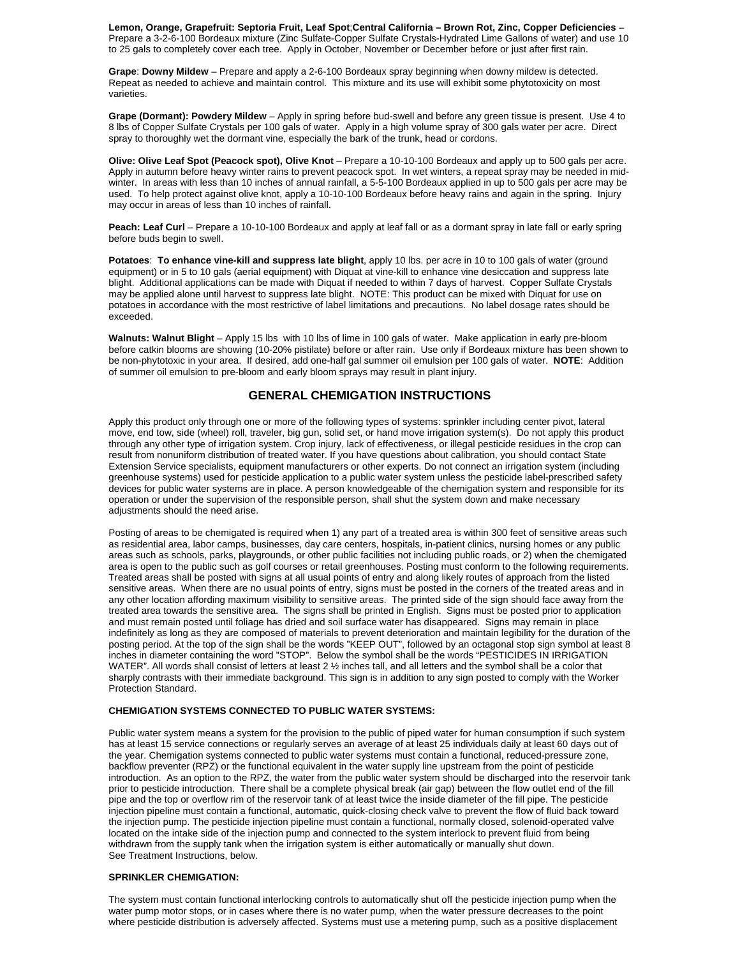**Lemon, Orange, Grapefruit: Septoria Fruit, Leaf Spot**;**Central California – Brown Rot, Zinc, Copper Deficiencies** – Prepare a 3-2-6-100 Bordeaux mixture (Zinc Sulfate-Copper Sulfate Crystals-Hydrated Lime Gallons of water) and use 10 to 25 gals to completely cover each tree. Apply in October, November or December before or just after first rain.

**Grape**: **Downy Mildew** – Prepare and apply a 2-6-100 Bordeaux spray beginning when downy mildew is detected. Repeat as needed to achieve and maintain control. This mixture and its use will exhibit some phytotoxicity on most varieties.

**Grape (Dormant): Powdery Mildew** – Apply in spring before bud-swell and before any green tissue is present. Use 4 to 8 lbs of Copper Sulfate Crystals per 100 gals of water. Apply in a high volume spray of 300 gals water per acre. Direct spray to thoroughly wet the dormant vine, especially the bark of the trunk, head or cordons.

**Olive: Olive Leaf Spot (Peacock spot), Olive Knot** – Prepare a 10-10-100 Bordeaux and apply up to 500 gals per acre. Apply in autumn before heavy winter rains to prevent peacock spot. In wet winters, a repeat spray may be needed in midwinter. In areas with less than 10 inches of annual rainfall, a 5-5-100 Bordeaux applied in up to 500 gals per acre may be used. To help protect against olive knot, apply a 10-10-100 Bordeaux before heavy rains and again in the spring. Injury may occur in areas of less than 10 inches of rainfall.

**Peach: Leaf Curl** – Prepare a 10-10-100 Bordeaux and apply at leaf fall or as a dormant spray in late fall or early spring before buds begin to swell.

**Potatoes**: **To enhance vine-kill and suppress late blight**, apply 10 lbs. per acre in 10 to 100 gals of water (ground equipment) or in 5 to 10 gals (aerial equipment) with Diquat at vine-kill to enhance vine desiccation and suppress late blight. Additional applications can be made with Diquat if needed to within 7 days of harvest. Copper Sulfate Crystals may be applied alone until harvest to suppress late blight. NOTE: This product can be mixed with Diquat for use on potatoes in accordance with the most restrictive of label limitations and precautions. No label dosage rates should be exceeded.

**Walnuts: Walnut Blight** – Apply 15 lbs with 10 lbs of lime in 100 gals of water. Make application in early pre-bloom before catkin blooms are showing (10-20% pistilate) before or after rain. Use only if Bordeaux mixture has been shown to be non-phytotoxic in your area. If desired, add one-half gal summer oil emulsion per 100 gals of water. **NOTE**: Addition of summer oil emulsion to pre-bloom and early bloom sprays may result in plant injury.

### **GENERAL CHEMIGATION INSTRUCTIONS**

Apply this product only through one or more of the following types of systems: sprinkler including center pivot, lateral move, end tow, side (wheel) roll, traveler, big gun, solid set, or hand move irrigation system(s). Do not apply this product through any other type of irrigation system. Crop injury, lack of effectiveness, or illegal pesticide residues in the crop can result from nonuniform distribution of treated water. If you have questions about calibration, you should contact State Extension Service specialists, equipment manufacturers or other experts. Do not connect an irrigation system (including greenhouse systems) used for pesticide application to a public water system unless the pesticide label-prescribed safety devices for public water systems are in place. A person knowledgeable of the chemigation system and responsible for its operation or under the supervision of the responsible person, shall shut the system down and make necessary adjustments should the need arise.

Posting of areas to be chemigated is required when 1) any part of a treated area is within 300 feet of sensitive areas such as residential area, labor camps, businesses, day care centers, hospitals, in-patient clinics, nursing homes or any public areas such as schools, parks, playgrounds, or other public facilities not including public roads, or 2) when the chemigated area is open to the public such as golf courses or retail greenhouses. Posting must conform to the following requirements. Treated areas shall be posted with signs at all usual points of entry and along likely routes of approach from the listed sensitive areas. When there are no usual points of entry, signs must be posted in the corners of the treated areas and in any other location affording maximum visibility to sensitive areas. The printed side of the sign should face away from the treated area towards the sensitive area. The signs shall be printed in English. Signs must be posted prior to application and must remain posted until foliage has dried and soil surface water has disappeared. Signs may remain in place indefinitely as long as they are composed of materials to prevent deterioration and maintain legibility for the duration of the posting period. At the top of the sign shall be the words "KEEP OUT", followed by an octagonal stop sign symbol at least 8 inches in diameter containing the word "STOP". Below the symbol shall be the words "PESTICIDES IN IRRIGATION WATER". All words shall consist of letters at least 2 1/2 inches tall, and all letters and the symbol shall be a color that sharply contrasts with their immediate background. This sign is in addition to any sign posted to comply with the Worker Protection Standard.

#### **CHEMIGATION SYSTEMS CONNECTED TO PUBLIC WATER SYSTEMS:**

Public water system means a system for the provision to the public of piped water for human consumption if such system has at least 15 service connections or regularly serves an average of at least 25 individuals daily at least 60 days out of the year. Chemigation systems connected to public water systems must contain a functional, reduced-pressure zone, backflow preventer (RPZ) or the functional equivalent in the water supply line upstream from the point of pesticide introduction. As an option to the RPZ, the water from the public water system should be discharged into the reservoir tank prior to pesticide introduction. There shall be a complete physical break (air gap) between the flow outlet end of the fill pipe and the top or overflow rim of the reservoir tank of at least twice the inside diameter of the fill pipe. The pesticide injection pipeline must contain a functional, automatic, quick-closing check valve to prevent the flow of fluid back toward the injection pump. The pesticide injection pipeline must contain a functional, normally closed, solenoid-operated valve located on the intake side of the injection pump and connected to the system interlock to prevent fluid from being withdrawn from the supply tank when the irrigation system is either automatically or manually shut down. See Treatment Instructions, below.

#### **SPRINKLER CHEMIGATION:**

The system must contain functional interlocking controls to automatically shut off the pesticide injection pump when the water pump motor stops, or in cases where there is no water pump, when the water pressure decreases to the point where pesticide distribution is adversely affected. Systems must use a metering pump, such as a positive displacement